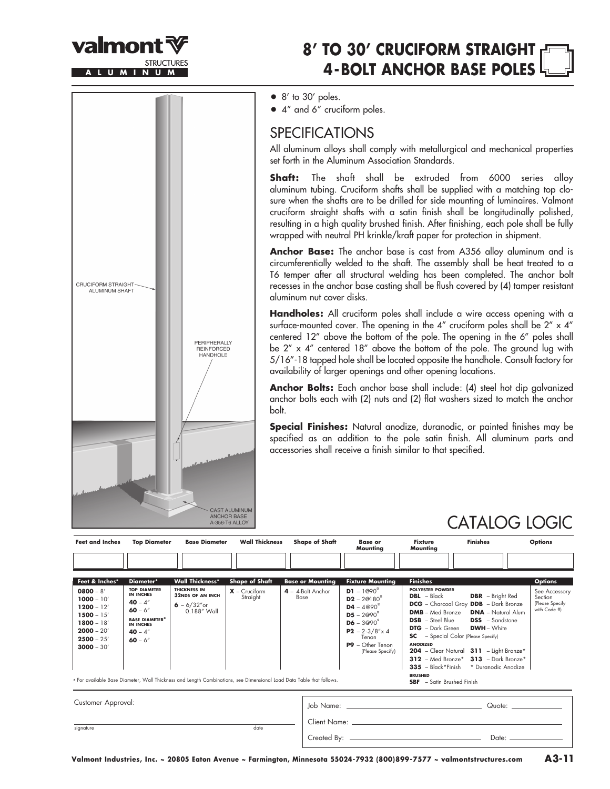

**ALUMINUM**

## **8' TO 30' CRUCIFORM STRAIGHT 4 -BOLT ANCHOR BASE POLES**

• 8' to 30' poles.

• 4" and 6" cruciform poles.

### **SPECIFICATIONS**

All aluminum alloys shall comply with metallurgical and mechanical properties set forth in the Aluminum Association Standards.

**Shaft:** The shaft shall be extruded from 6000 series alloy aluminum tubing. Cruciform shafts shall be supplied with a matching top closure when the shafts are to be drilled for side mounting of luminaires. Valmont cruciform straight shafts with a satin finish shall be longitudinally polished, resulting in a high quality brushed finish. After finishing, each pole shall be fully wrapped with neutral PH krinkle/kraft paper for protection in shipment.

**Anchor Base:** The anchor base is cast from A356 alloy aluminum and is circumferentially welded to the shaft. The assembly shall be heat treated to a T6 temper after all structural welding has been completed. The anchor bolt recesses in the anchor base casting shall be flush covered by (4) tamper resistant aluminum nut cover disks.

**Handholes:** All cruciform poles shall include a wire access opening with a surface-mounted cover. The opening in the  $4''$  cruciform poles shall be  $2'' \times 4''$ centered 12" above the bottom of the pole. The opening in the 6" poles shall be 2" x 4" centered 18" above the bottom of the pole. The ground lug with 5/16"-18 tapped hole shall be located opposite the handhole. Consult factory for availability of larger openings and other opening locations.

**Anchor Bolts:** Each anchor base shall include: (4) steel hot dip galvanized anchor bolts each with (2) nuts and (2) flat washers sized to match the anchor bolt.

**Special Finishes:** Natural anodize, duranodic, or painted finishes may be specified as an addition to the pole satin finish. All aluminum parts and accessories shall receive a finish similar to that specified.

## CATALOG LOGIC

| <b>Feet and Inches</b>                                                                                                                        | <b>Top Diameter</b>                                                                                                                                    | <b>Base Diameter</b>                                                                                       | <b>Wall Thickness</b>                                                                                                                                                        | <b>Shape of Shaft</b>                                | <b>Base or</b><br>Mounting                                                                                                                                                                                                       | <b>Fixture</b><br>Mounting                                                                                                                                                                                             | <b>Finishes</b>                                                                                                                                                                                                                                                                                                                            | <b>Options</b>                                                                |
|-----------------------------------------------------------------------------------------------------------------------------------------------|--------------------------------------------------------------------------------------------------------------------------------------------------------|------------------------------------------------------------------------------------------------------------|------------------------------------------------------------------------------------------------------------------------------------------------------------------------------|------------------------------------------------------|----------------------------------------------------------------------------------------------------------------------------------------------------------------------------------------------------------------------------------|------------------------------------------------------------------------------------------------------------------------------------------------------------------------------------------------------------------------|--------------------------------------------------------------------------------------------------------------------------------------------------------------------------------------------------------------------------------------------------------------------------------------------------------------------------------------------|-------------------------------------------------------------------------------|
|                                                                                                                                               |                                                                                                                                                        |                                                                                                            |                                                                                                                                                                              |                                                      |                                                                                                                                                                                                                                  |                                                                                                                                                                                                                        |                                                                                                                                                                                                                                                                                                                                            |                                                                               |
| Feet & Inches*<br>$0800 - 8'$<br>$1000 - 10'$<br>$1200 - 12'$<br>$1500 - 15'$<br>$1800 - 18'$<br>$2000 - 20'$<br>$2500 - 25'$<br>$3000 - 30'$ | Diameter*<br><b>TOP DIAMETER</b><br><b>IN INCHES</b><br>$40 - 4"$<br>$60 - 6''$<br><b>BASE DIAMETER*</b><br><b>IN INCHES</b><br>$40 - 4"$<br>$60 - 6"$ | <b>Wall Thickness*</b><br><b>THICKNESS IN</b><br><b>32NDS OF AN INCH</b><br>$6 - 6/32''$ or<br>0.188" Wall | <b>Shape of Shaft</b><br>$X$ – Cruciform<br>Straight<br>* For available Base Diameter, Wall Thickness and Length Combinations, see Dimensional Load Data Table that follows. | <b>Base or Mounting</b><br>4 - 4-Bolt Anchor<br>Base | <b>Fixture Mounting</b><br><b>D1</b> – $1@90^{\circ}$<br>$D2 - 2@180°$<br>$D4 - 4@90^\circ$<br>$D5 - 2@90^\circ$<br>$\mathbf{D6} - 3@90^{\circ}$<br>$P2 - 2 - 3/8'' \times 4$<br>Tenon<br>$P9 - Other Tenon$<br>(Please Specify) | <b>Finishes</b><br><b>POLYESTER POWDER</b><br>$DBL - Black$<br><b>DMB</b> - Med Bronze<br><b>DSB</b> - Steel Blue<br><b>DTG</b> – Dark Green<br><b>ANODIZED</b><br><b>BRUSHED</b><br><b>SBF</b> - Satin Brushed Finish | <b>DBR</b> - Bright Red<br><b>DCG</b> - Charcoal Gray <b>DDB</b> - Dark Bronze<br><b>DNA</b> - Natural Alum<br><b>DSS</b> - Sandstone<br><b>DWH</b> - White<br><b>SC</b> - Special Color (Please Specify)<br>204 - Clear Natural 311 - Light Bronze*<br>$312$ - Med Bronze* $313$ - Dark Bronze*<br>335 - Black*Finish * Duranodic Anodize | <b>Options</b><br>See Accessory<br>Section<br>(Please Specify<br>with Code #) |
| Customer Approval:                                                                                                                            |                                                                                                                                                        |                                                                                                            |                                                                                                                                                                              |                                                      | Job Name: will be a state of the state of the state of the state of the state of the state of the state of the                                                                                                                   |                                                                                                                                                                                                                        |                                                                                                                                                                                                                                                                                                                                            |                                                                               |
| signature                                                                                                                                     |                                                                                                                                                        |                                                                                                            | date                                                                                                                                                                         |                                                      |                                                                                                                                                                                                                                  |                                                                                                                                                                                                                        |                                                                                                                                                                                                                                                                                                                                            |                                                                               |

CRUCIFORM STRAIGHT ALUMINUM SHAFT PERIPHERALLY **REINFORCED** HANDHOLE CAST ALUMINUM **ANCHOR BASE** A-356-T6 ALLOY